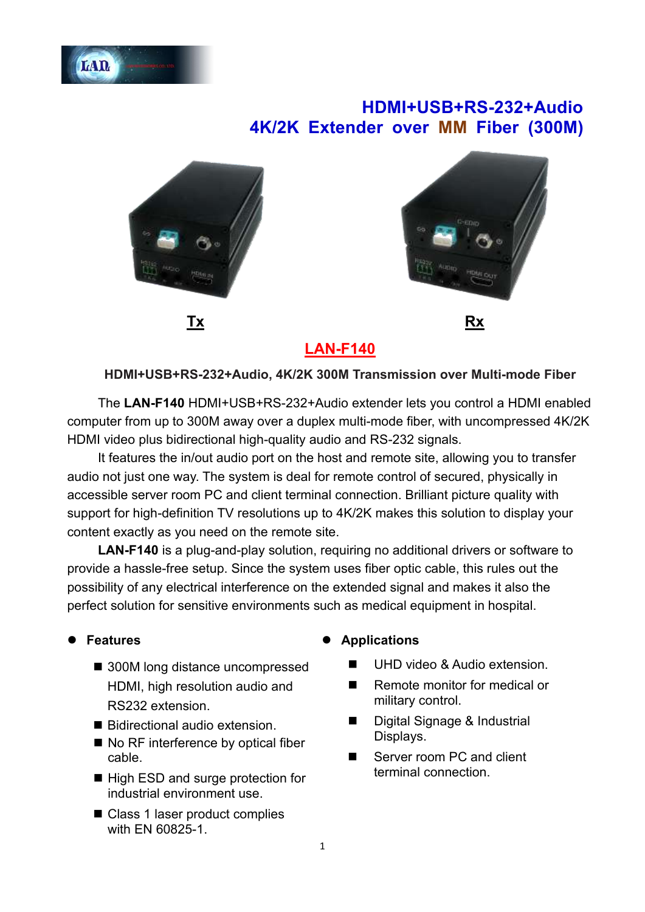

# **HDMI+USB+RS-232+Audio 4K/2K Extender over MM Fiber (300M)**





**LAN-F140**

#### **HDMI+USB+RS-232+Audio, 4K/2K 300M Transmission over Multi-mode Fiber**

The **LAN-F140** HDMI+USB+RS-232+Audio extender lets you control a HDMI enabled computer from up to 300M away over a duplex multi-mode fiber, with uncompressed 4K/2K HDMI video plus bidirectional high-quality audio and RS-232 signals.

It features the in/out audio port on the host and remote site, allowing you to transfer audio not just one way. The system is deal for remote control of secured, physically in accessible server room PC and client terminal connection. Brilliant picture quality with support for high-definition TV resolutions up to 4K/2K makes this solution to display your content exactly as you need on the remote site.

**LAN-F140** is a plug-and-play solution, requiring no additional drivers or software to provide a hassle-free setup. Since the system uses fiber optic cable, this rules out the possibility of any electrical interference on the extended signal and makes it also the perfect solution for sensitive environments such as medical equipment in hospital.

### ⚫ **Features**

- 300M long distance uncompressed HDMI, high resolution audio and RS232 extension.
- Bidirectional audio extension.
- No RF interference by optical fiber cable.
- High ESD and surge protection for industrial environment use.
- Class 1 laser product complies with EN 60825-1.

#### ⚫ **Applications**

- UHD video & Audio extension.
- Remote monitor for medical or military control.
- Digital Signage & Industrial Displays.
- Server room PC and client terminal connection.